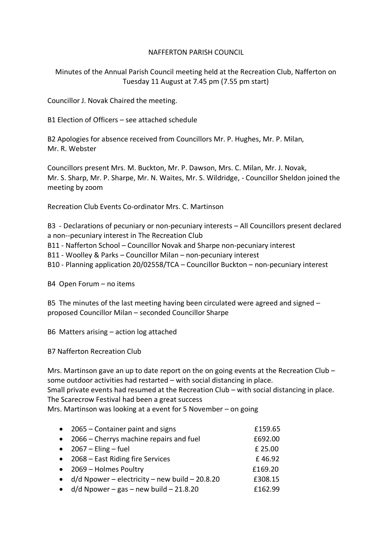## NAFFERTON PARISH COUNCIL

Minutes of the Annual Parish Council meeting held at the Recreation Club, Nafferton on Tuesday 11 August at 7.45 pm (7.55 pm start)

Councillor J. Novak Chaired the meeting.

B1 Election of Officers – see attached schedule

B2 Apologies for absence received from Councillors Mr. P. Hughes, Mr. P. Milan, Mr. R. Webster

Councillors present Mrs. M. Buckton, Mr. P. Dawson, Mrs. C. Milan, Mr. J. Novak, Mr. S. Sharp, Mr. P. Sharpe, Mr. N. Waites, Mr. S. Wildridge, - Councillor Sheldon joined the meeting by zoom

Recreation Club Events Co-ordinator Mrs. C. Martinson

B3 - Declarations of pecuniary or non-pecuniary interests – All Councillors present declared a non--pecuniary interest in The Recreation Club B11 - Nafferton School – Councillor Novak and Sharpe non-pecuniary interest B11 - Woolley & Parks – Councillor Milan – non-pecuniary interest B10 - Planning application 20/02558/TCA – Councillor Buckton – non-pecuniary interest

B4 Open Forum – no items

B5 The minutes of the last meeting having been circulated were agreed and signed – proposed Councillor Milan – seconded Councillor Sharpe

B6 Matters arising – action log attached

B7 Nafferton Recreation Club

Mrs. Martinson gave an up to date report on the on going events at the Recreation Club – some outdoor activities had restarted – with social distancing in place. Small private events had resumed at the Recreation Club – with social distancing in place. The Scarecrow Festival had been a great success Mrs. Martinson was looking at a event for 5 November – on going

|           | • 2065 – Container paint and signs             | £159.65 |
|-----------|------------------------------------------------|---------|
| $\bullet$ | 2066 – Cherrys machine repairs and fuel        | £692.00 |
|           | $\bullet$ 2067 – Eling – fuel                  | £ 25.00 |
|           | • 2068 – East Riding fire Services             | £46.92  |
|           | • 2069 – Holmes Poultry                        | £169.20 |
| $\bullet$ | d/d Npower – electricity – new build – 20.8.20 | £308.15 |
| $\bullet$ | $d/d$ Npower – gas – new build – 21.8.20       | £162.99 |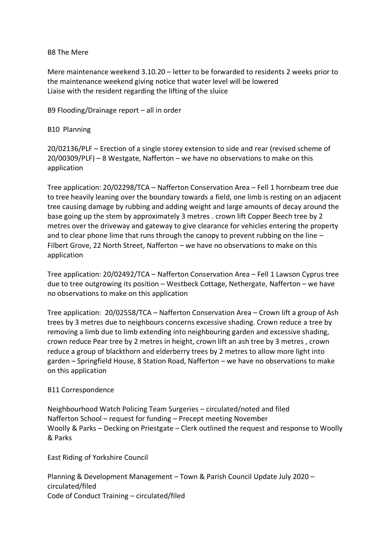## B8 The Mere

Mere maintenance weekend 3.10.20 – letter to be forwarded to residents 2 weeks prior to the maintenance weekend giving notice that water level will be lowered Liaise with the resident regarding the lifting of the sluice

B9 Flooding/Drainage report – all in order

B10 Planning

20/02136/PLF – Erection of a single storey extension to side and rear (revised scheme of 20/00309/PLF) – 8 Westgate, Nafferton – we have no observations to make on this application

Tree application: 20/02298/TCA – Nafferton Conservation Area – Fell 1 hornbeam tree due to tree heavily leaning over the boundary towards a field, one limb is resting on an adjacent tree causing damage by rubbing and adding weight and large amounts of decay around the base going up the stem by approximately 3 metres . crown lift Copper Beech tree by 2 metres over the driveway and gateway to give clearance for vehicles entering the property and to clear phone lime that runs through the canopy to prevent rubbing on the line – Filbert Grove, 22 North Street, Nafferton – we have no observations to make on this application

Tree application: 20/02492/TCA – Nafferton Conservation Area – Fell 1 Lawson Cyprus tree due to tree outgrowing its position – Westbeck Cottage, Nethergate, Nafferton – we have no observations to make on this application

Tree application: 20/02558/TCA – Nafferton Conservation Area – Crown lift a group of Ash trees by 3 metres due to neighbours concerns excessive shading. Crown reduce a tree by removing a limb due to limb extending into neighbouring garden and excessive shading, crown reduce Pear tree by 2 metres in height, crown lift an ash tree by 3 metres , crown reduce a group of blackthorn and elderberry trees by 2 metres to allow more light into garden – Springfield House, 8 Station Road, Nafferton – we have no observations to make on this application

## B11 Correspondence

Neighbourhood Watch Policing Team Surgeries – circulated/noted and filed Nafferton School – request for funding – Precept meeting November Woolly & Parks – Decking on Priestgate – Clerk outlined the request and response to Woolly & Parks

East Riding of Yorkshire Council

Planning & Development Management – Town & Parish Council Update July 2020 – circulated/filed Code of Conduct Training – circulated/filed